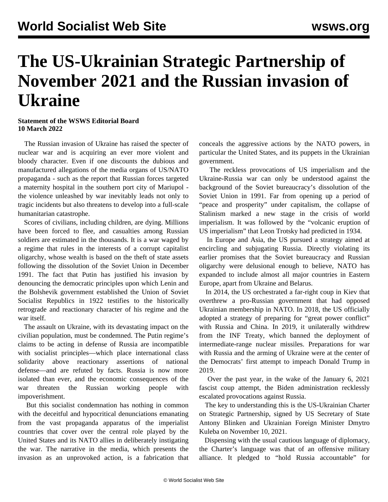## **The US-Ukrainian Strategic Partnership of November 2021 and the Russian invasion of Ukraine**

## **Statement of the WSWS Editorial Board 10 March 2022**

 The Russian invasion of Ukraine has raised the specter of nuclear war and is acquiring an ever more violent and bloody character. Even if one discounts the dubious and manufactured allegations of the media organs of US/NATO propaganda - such as the report that Russian forces targeted a maternity hospital in the southern port city of Mariupol the violence unleashed by war inevitably leads not only to tragic incidents but also threatens to develop into a full-scale humanitarian catastrophe.

 Scores of civilians, including children, are dying. Millions have been forced to flee, and casualties among Russian soldiers are estimated in the thousands. It is a war waged by a regime that rules in the interests of a corrupt capitalist oligarchy, whose wealth is based on the theft of state assets following the dissolution of the Soviet Union in December 1991. The fact that Putin has justified his invasion by denouncing the democratic principles upon which Lenin and the Bolshevik government established the Union of Soviet Socialist Republics in 1922 testifies to the historically retrograde and reactionary character of his regime and the war itself.

 The assault on Ukraine, with its devastating impact on the civilian population, must be condemned. The Putin regime's claims to be acting in defense of Russia are incompatible with socialist principles—which place international class solidarity above reactionary assertions of national defense—and are refuted by facts. Russia is now more isolated than ever, and the economic consequences of the war threaten the Russian working people with impoverishment.

 But this socialist condemnation has nothing in common with the deceitful and hypocritical denunciations emanating from the vast propaganda apparatus of the imperialist countries that cover over the central role played by the United States and its NATO allies in deliberately instigating the war. The narrative in the media, which presents the invasion as an unprovoked action, is a fabrication that conceals the aggressive actions by the NATO powers, in particular the United States, and its puppets in the Ukrainian government.

 The reckless provocations of US imperialism and the Ukraine-Russia war can only be understood against the background of the Soviet bureaucracy's dissolution of the Soviet Union in 1991. Far from opening up a period of "peace and prosperity" under capitalism, the collapse of Stalinism marked a new stage in the crisis of world imperialism. It was followed by the "volcanic eruption of US imperialism" that Leon Trotsky had predicted in 1934.

 In Europe and Asia, the US pursued a strategy aimed at encircling and subjugating Russia. Directly violating its earlier promises that the Soviet bureaucracy and Russian oligarchy were delusional enough to believe, NATO has expanded to include almost all major countries in Eastern Europe, apart from Ukraine and Belarus.

 In 2014, the US orchestrated a far-right coup in Kiev that overthrew a pro-Russian government that had opposed Ukrainian membership in NATO. In 2018, the US officially adopted a strategy of preparing for "great power conflict" with Russia and China. In 2019, it unilaterally withdrew from the INF Treaty, which banned the deployment of intermediate-range nuclear missiles. Preparations for war with Russia and the arming of Ukraine were at the center of the Democrats' first attempt to impeach Donald Trump in 2019.

 Over the past year, in the wake of the January 6, 2021 fascist coup attempt, the Biden administration recklessly escalated provocations against Russia.

 The key to understanding this is the US-Ukrainian [Charter](https://www.state.gov/u-s-ukraine-charter-on-strategic-partnership/) [on Strategic Partnership,](https://www.state.gov/u-s-ukraine-charter-on-strategic-partnership/) signed by US Secretary of State Antony Blinken and Ukrainian Foreign Minister Dmytro Kuleba on November 10, 2021.

 Dispensing with the usual cautious language of diplomacy, the Charter's language was that of an offensive military alliance. It pledged to "hold Russia accountable" for